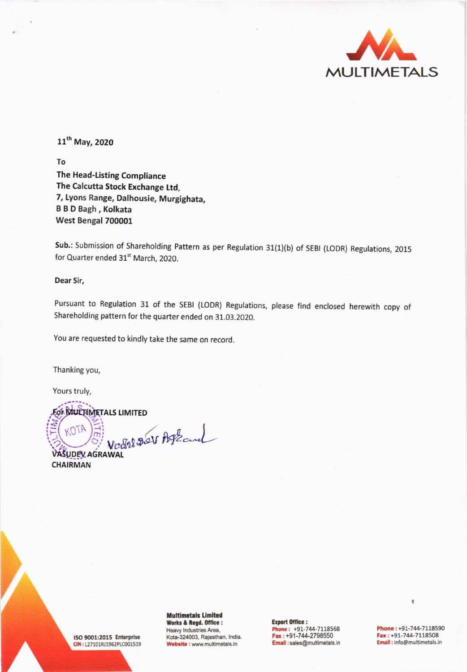

11<sup>th</sup> May, 2020

To

The Head-Listing Compliance The Calcutta Stock Exchange Ltd, 7, Lyons Range, Dalhousie, Murgighata, **B B D Bagh, Kolkata** West Bengal 700001

Sub.: Submission of Shareholding Pattern as per Regulation 31(1)(b) of SEBI (LODR) Regulations, 2015 for Quarter ended 31<sup>st</sup> March, 2020.

Dear Sir,

Pursuant to Regulation 31 of the SEBI (LODR) Regulations, please find enclosed herewith copy of Shareholding pattern for the quarter ended on 31.03.2020.

You are requested to kindly take the same on record.

Thanking you,

Yours truly,

FOR MULTIMETALS LIMITED

Valet 201 Askand OTA

**VASUDEV AGRAWAL CHAIRMAN** 

ISO 9001:2015 Enterprise CIN: L27101RJ1962PLC001519 **Multimetals Limited** Works & Regd. Office : Heavy Industries Area, Kota-324003, Rajasthan, India. Website : www.multimetals.in

**Export Office:** Phone: +91-744-7118568<br>Fax: +91-744-2798550 Email:sales@multimetals.in

Phone: +91-744-7118590 Fax: +91-744-7118508 Email: info@multimetals.in